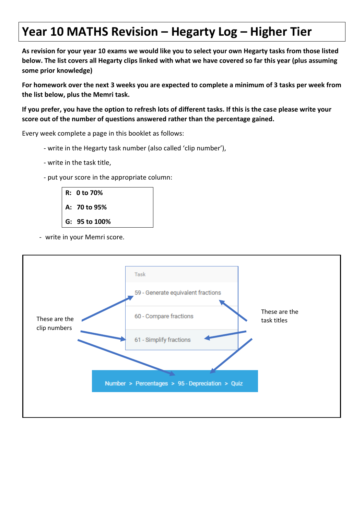## **Year 10 MATHS Revision – Hegarty Log – Higher Tier**

**As revision for your year 10 exams we would like you to select your own Hegarty tasks from those listed below. The list covers all Hegarty clips linked with what we have covered so far this year (plus assuming some prior knowledge)**

**For homework over the next 3 weeks you are expected to complete a minimum of 3 tasks per week from the list below, plus the Memri task.**

**If you prefer, you have the option to refresh lots of different tasks. If this is the case please write your score out of the number of questions answered rather than the percentage gained.**

Every week complete a page in this booklet as follows:

- write in the Hegarty task number (also called 'clip number'),
- write in the task title,
- put your score in the appropriate column:



- write in your Memri score.

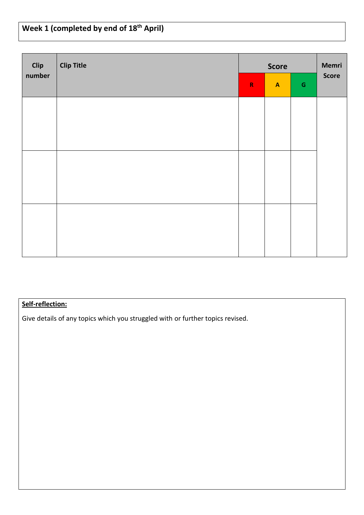# **Week 1 (completed by end of 18th April)**

| <b>Clip</b> | <b>Clip Title</b> | <b>Score</b><br>${\mathsf G}$<br>${\bf R}$<br>$\boldsymbol{\mathsf{A}}$ |  | Memri |              |
|-------------|-------------------|-------------------------------------------------------------------------|--|-------|--------------|
| number      |                   |                                                                         |  |       | <b>Score</b> |
|             |                   |                                                                         |  |       |              |
|             |                   |                                                                         |  |       |              |
|             |                   |                                                                         |  |       |              |
|             |                   |                                                                         |  |       |              |
|             |                   |                                                                         |  |       |              |
|             |                   |                                                                         |  |       |              |
|             |                   |                                                                         |  |       |              |

### **Self-reflection:**

Give details of any topics which you struggled with or further topics revised.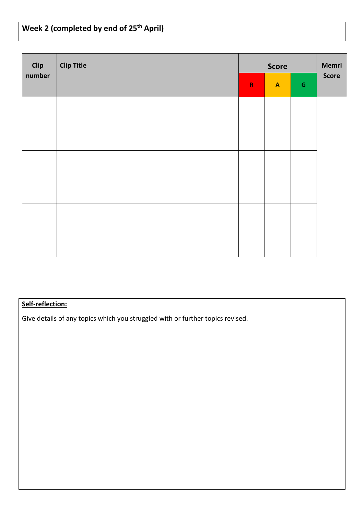# **Week 2 (completed by end of 25th April)**

| <b>Clip</b><br>number | <b>Clip Title</b> |             | <b>Score</b>              |             | Memri |
|-----------------------|-------------------|-------------|---------------------------|-------------|-------|
|                       |                   | $\mathbf R$ | $\boldsymbol{\mathsf{A}}$ | $\mathsf G$ | Score |
|                       |                   |             |                           |             |       |
|                       |                   |             |                           |             |       |
|                       |                   |             |                           |             |       |
|                       |                   |             |                           |             |       |
|                       |                   |             |                           |             |       |
|                       |                   |             |                           |             |       |
|                       |                   |             |                           |             |       |

### **Self-reflection:**

Give details of any topics which you struggled with or further topics revised.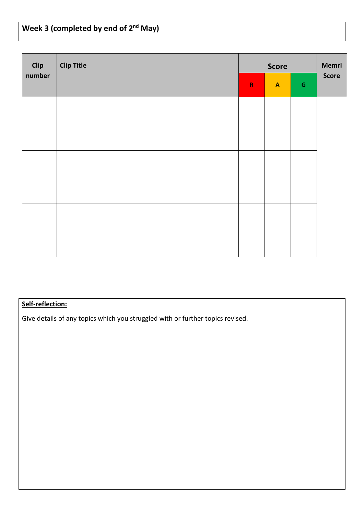| Week 3 (completed by end of $2^{nd}$ May) |  |
|-------------------------------------------|--|
|                                           |  |

| Clip   | <b>Clip Title</b> | <b>Score</b> |                                            |  | Memri        |  |
|--------|-------------------|--------------|--------------------------------------------|--|--------------|--|
| number |                   | $\mathsf R$  | ${\mathsf G}$<br>$\boldsymbol{\mathsf{A}}$ |  | <b>Score</b> |  |
|        |                   |              |                                            |  |              |  |
|        |                   |              |                                            |  |              |  |
|        |                   |              |                                            |  |              |  |
|        |                   |              |                                            |  |              |  |
|        |                   |              |                                            |  |              |  |
|        |                   |              |                                            |  |              |  |
|        |                   |              |                                            |  |              |  |

### **Self-reflection:**

Give details of any topics which you struggled with or further topics revised.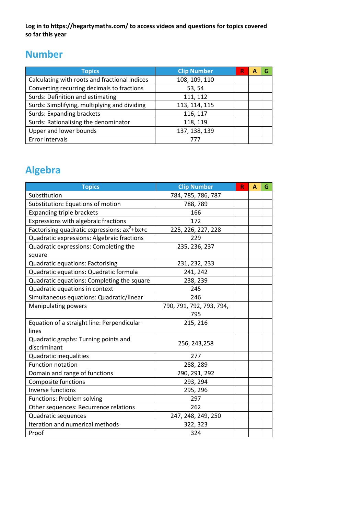**Log in to https://hegartymaths.com/ to access videos and questions for topics covered so far this year**

## **Number**

| <b>Topics</b>                                 | <b>Clip Number</b> | R |  |
|-----------------------------------------------|--------------------|---|--|
| Calculating with roots and fractional indices | 108, 109, 110      |   |  |
| Converting recurring decimals to fractions    | 53, 54             |   |  |
| Surds: Definition and estimating              | 111, 112           |   |  |
| Surds: Simplifying, multiplying and dividing  | 113, 114, 115      |   |  |
| <b>Surds: Expanding brackets</b>              | 116, 117           |   |  |
| Surds: Rationalising the denominator          | 118, 119           |   |  |
| Upper and lower bounds                        | 137, 138, 139      |   |  |
| Error intervals                               |                    |   |  |

## **Algebra**

| <b>Topics</b>                                      | <b>Clip Number</b>       | R | A | G |
|----------------------------------------------------|--------------------------|---|---|---|
| Substitution                                       | 784, 785, 786, 787       |   |   |   |
| Substitution: Equations of motion                  | 788,789                  |   |   |   |
| <b>Expanding triple brackets</b>                   | 166                      |   |   |   |
| Expressions with algebraic fractions               | 172                      |   |   |   |
| Factorising quadratic expressions: $ax^2 + bx + c$ | 225, 226, 227, 228       |   |   |   |
| Quadratic expressions: Algebraic fractions         | 229                      |   |   |   |
| Quadratic expressions: Completing the              | 235, 236, 237            |   |   |   |
| square                                             |                          |   |   |   |
| <b>Quadratic equations: Factorising</b>            | 231, 232, 233            |   |   |   |
| Quadratic equations: Quadratic formula             | 241, 242                 |   |   |   |
| Quadratic equations: Completing the square         | 238, 239                 |   |   |   |
| Quadratic equations in context                     | 245                      |   |   |   |
| Simultaneous equations: Quadratic/linear           | 246                      |   |   |   |
| <b>Manipulating powers</b>                         | 790, 791, 792, 793, 794, |   |   |   |
|                                                    | 795                      |   |   |   |
| Equation of a straight line: Perpendicular         | 215, 216                 |   |   |   |
| lines                                              |                          |   |   |   |
| Quadratic graphs: Turning points and               | 256, 243, 258            |   |   |   |
| discriminant                                       |                          |   |   |   |
| Quadratic inequalities                             | 277                      |   |   |   |
| <b>Function notation</b>                           | 288, 289                 |   |   |   |
| Domain and range of functions                      | 290, 291, 292            |   |   |   |
| Composite functions                                | 293, 294                 |   |   |   |
| <b>Inverse functions</b>                           | 295, 296                 |   |   |   |
| Functions: Problem solving                         | 297                      |   |   |   |
| Other sequences: Recurrence relations              | 262                      |   |   |   |
| Quadratic sequences                                | 247, 248, 249, 250       |   |   |   |
| Iteration and numerical methods                    | 322, 323                 |   |   |   |
| Proof                                              | 324                      |   |   |   |